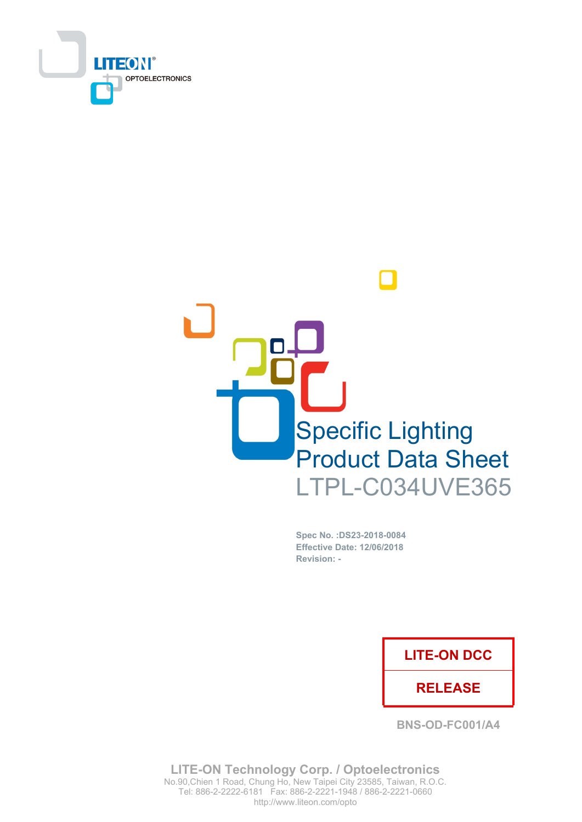



Spec No. : DS23-2018-0084 Effective Date: 12/06/2018 Revision: -

## **LITE-ON DCC**

## **RELEASE**

**BNS-OD-FC001/A4** 

**LITE-ON Technology Corp. / Optoelectronics** No.90, Chien 1 Road, Chung Ho, New Taipei City 23585, Taiwan, R.O.C. Tel: 886-2-2222-6181 Fax: 886-2-2221-1948 / 886-2-2221-0660 http://www.liteon.com/opto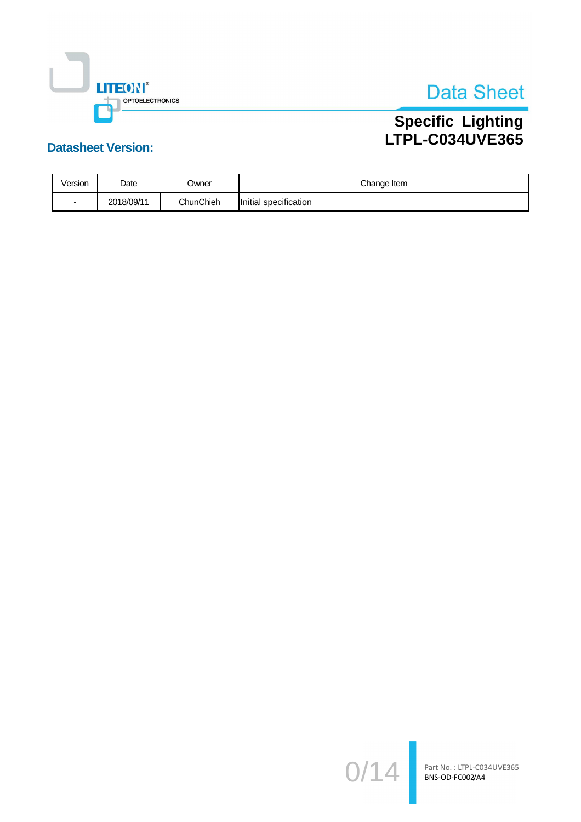

# Specific Lighting<br>LTPL-C034UVE365

## **Datasheet Version:**

| Version | Date       | Jwner     | Change Item              |  |  |
|---------|------------|-----------|--------------------------|--|--|
|         | 2018/09/11 | ChunChieh | specification<br>Initial |  |  |

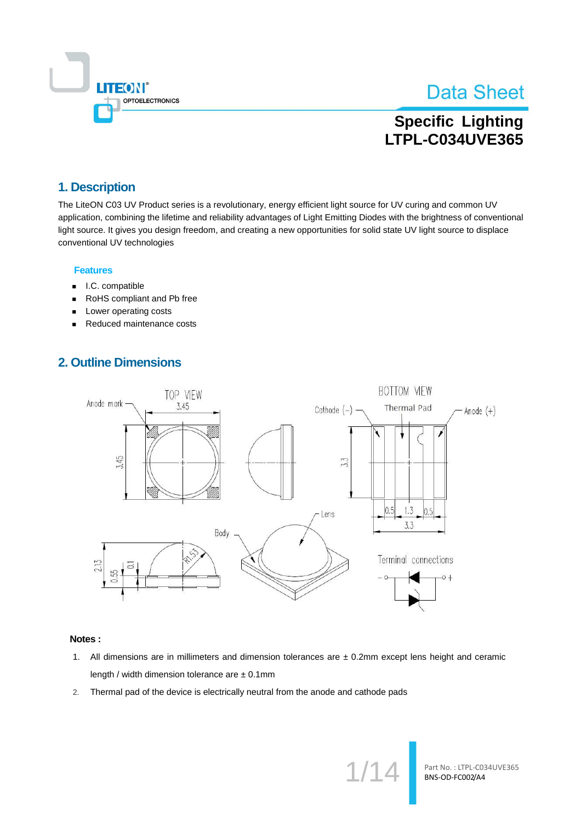

## **Specific Lighting LTPL-C034UVE365**

## 1. Description

The LiteON C03 UV Product series is a revolutionary, energy efficient light source for UV curing and common UV application, combining the lifetime and reliability advantages of Light Emitting Diodes with the brightness of conventional light source. It gives you design freedom, and creating a new opportunities for solid state UV light source to displace conventional UV technologies

#### **Features**

- I.C. compatible  $\blacksquare$
- RoHS compliant and Pb free  $\blacksquare$
- Lower operating costs
- Reduced maintenance costs  $\blacksquare$

### **2. Outline Dimensions**



#### Notes:

- 1. All dimensions are in millimeters and dimension tolerances are  $\pm$  0.2mm except lens height and ceramic length / width dimension tolerance are ± 0.1mm
- Thermal pad of the device is electrically neutral from the anode and cathode pads  $2.$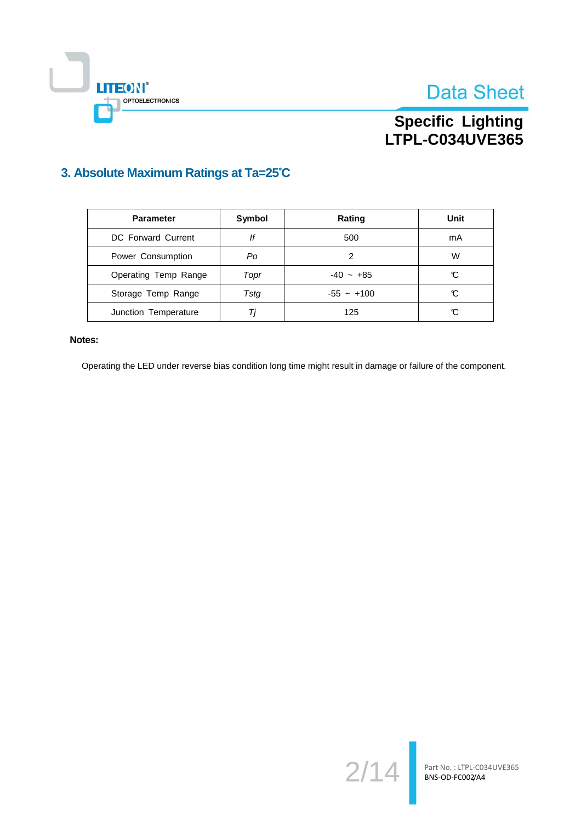



## 3. Absolute Maximum Ratings at Ta=25°C

| <b>Parameter</b>     | Symbol<br>Rating |              | Unit |
|----------------------|------------------|--------------|------|
| DC Forward Current   | lf               | 500          | mA   |
| Power Consumption    | Po               | 2            | W    |
| Operating Temp Range | Topr             | $-40 - +85$  | C    |
| Storage Temp Range   | Tsta             | $-55 - +100$ | C    |
| Junction Temperature | Ti               | 125          | C    |

#### Notes:

 $\mathbb{L}$ 

**LITEON®** 

OPTOELECTRONICS

Operating the LED under reverse bias condition long time might result in damage or failure of the component.

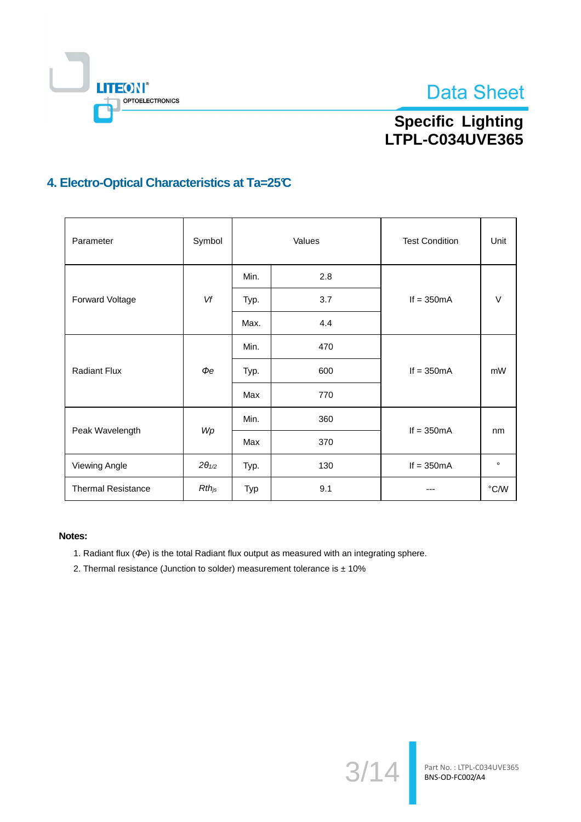

# Specific Lighting<br>LTPL-C034UVE365

## 4. Electro-Optical Characteristics at Ta=25°C

| Parameter                 | Symbol          | Values |     | <b>Test Condition</b> | Unit           |
|---------------------------|-----------------|--------|-----|-----------------------|----------------|
|                           |                 | Min.   | 2.8 |                       |                |
| Forward Voltage           | Vf              | Typ.   | 3.7 | If $= 350mA$          | V              |
|                           |                 | Max.   | 4.4 |                       |                |
|                           | $\Phi e$        | Min.   | 470 |                       | mW             |
| <b>Radiant Flux</b>       |                 | Typ.   | 600 | If $= 350mA$          |                |
|                           |                 | Max    | 770 |                       |                |
|                           | Wp              | Min.   | 360 |                       | nm             |
| Peak Wavelength           |                 | Max    | 370 | If $= 350mA$          |                |
| Viewing Angle             | $2\theta_{1/2}$ | Typ.   | 130 | If $= 350mA$          | $\circ$        |
| <b>Thermal Resistance</b> | $Rth_{js}$      | Typ    | 9.1 |                       | $^{\circ}$ C/W |

#### Notes:

- 1. Radiant flux ( $\Phi$ e) is the total Radiant flux output as measured with an integrating sphere.
- 2. Thermal resistance (Junction to solder) measurement tolerance is  $\pm$  10%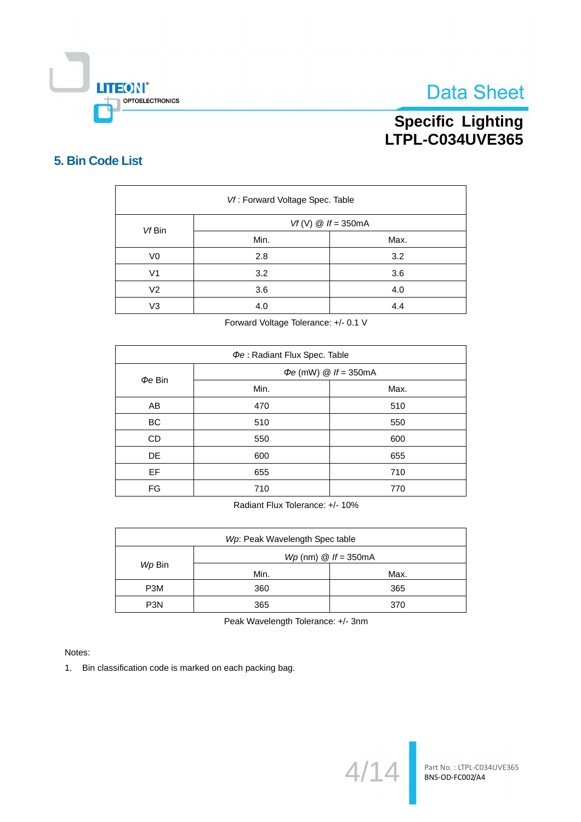

# Specific Lighting<br>LTPL-C034UVE365

## 5. Bin Code List

| Vf: Forward Voltage Spec. Table |                      |      |  |  |  |
|---------------------------------|----------------------|------|--|--|--|
| Vf Bin                          | $Vf(V)$ @ If = 350mA |      |  |  |  |
|                                 | Min.                 | Max. |  |  |  |
| V <sub>0</sub>                  | 2.8                  | 3.2  |  |  |  |
| V <sub>1</sub>                  | 3.2                  | 3.6  |  |  |  |
| V <sub>2</sub>                  | 3.6                  | 4.0  |  |  |  |
| V <sub>3</sub>                  | 4.0                  | 4.4  |  |  |  |

Forward Voltage Tolerance: +/- 0.1 V

| Φe: Radiant Flux Spec. Table |                                   |      |  |  |  |
|------------------------------|-----------------------------------|------|--|--|--|
| $\Phi e$ Bin                 | $\Phi e$ (mW) $\omega$ If = 350mA |      |  |  |  |
|                              | Min.                              | Max. |  |  |  |
| AB                           | 470                               | 510  |  |  |  |
| <b>BC</b>                    | 510                               | 550  |  |  |  |
| CD                           | 550                               | 600  |  |  |  |
| <b>DE</b>                    | 600                               | 655  |  |  |  |
| EF                           | 655                               | 710  |  |  |  |
| FG                           | 710                               | 770  |  |  |  |

Radiant Flux Tolerance: +/- 10%

| Wp: Peak Wavelength Spec table |                                        |      |  |  |  |
|--------------------------------|----------------------------------------|------|--|--|--|
|                                | $Wp$ (nm) $\textcircled{a}$ If = 350mA |      |  |  |  |
| Wp Bin                         | Min.                                   | Max. |  |  |  |
| P <sub>3</sub> M               | 360                                    | 365  |  |  |  |
| P <sub>3</sub> N               | 365                                    | 370  |  |  |  |

Peak Wavelength Tolerance: +/- 3nm

Notes:

1. Bin classification code is marked on each packing bag.

 $4/1$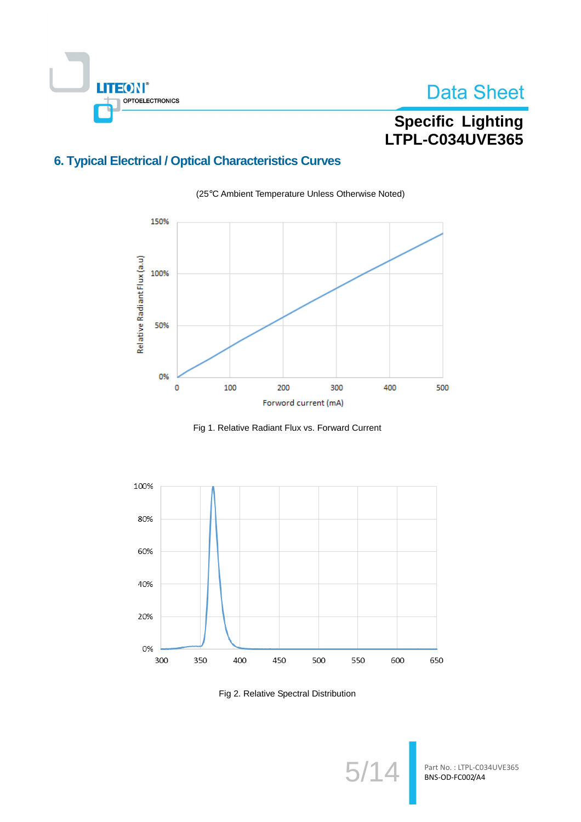

# Specific Lighting<br>LTPL-C034UVE365

## **6. Typical Electrical / Optical Characteristics Curves**



(25°C Ambient Temperature Unless Otherwise Noted)

Fig 1. Relative Radiant Flux vs. Forward Current



Fig 2. Relative Spectral Distribution

5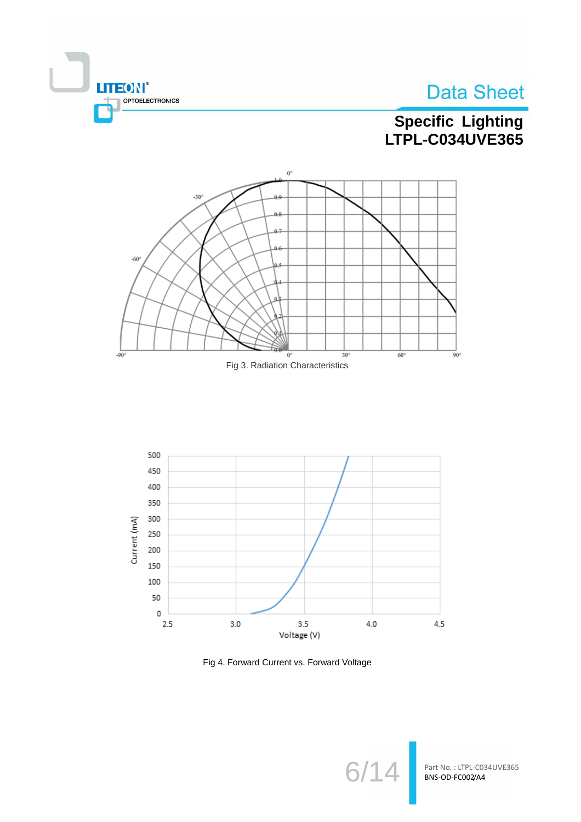![](_page_7_Picture_0.jpeg)

# Specific Lighting<br>LTPL-C034UVE365

![](_page_7_Figure_3.jpeg)

![](_page_7_Figure_4.jpeg)

![](_page_7_Figure_5.jpeg)

Fig 4. Forward Current vs. Forward Voltage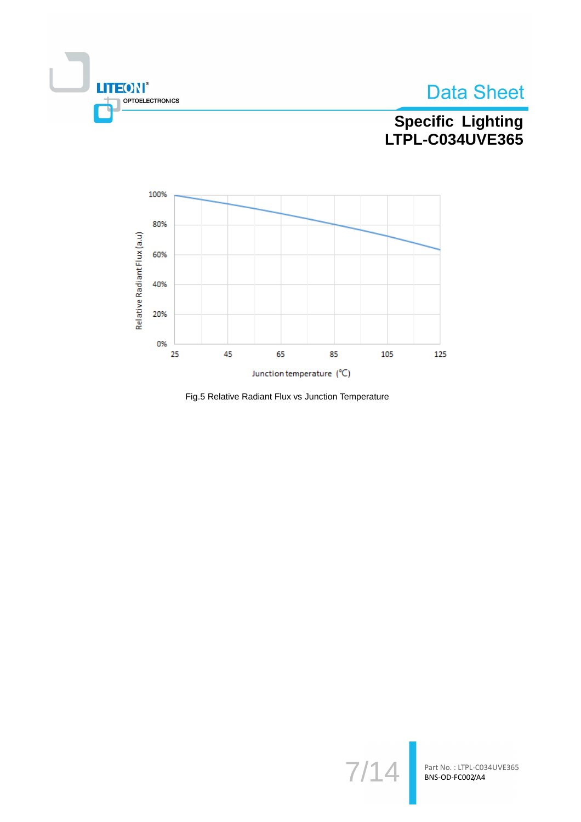![](_page_8_Picture_0.jpeg)

![](_page_8_Picture_1.jpeg)

# Specific Lighting<br>LTPL-C034UVE365

![](_page_8_Figure_3.jpeg)

Fig.5 Relative Radiant Flux vs Junction Temperature

![](_page_8_Picture_5.jpeg)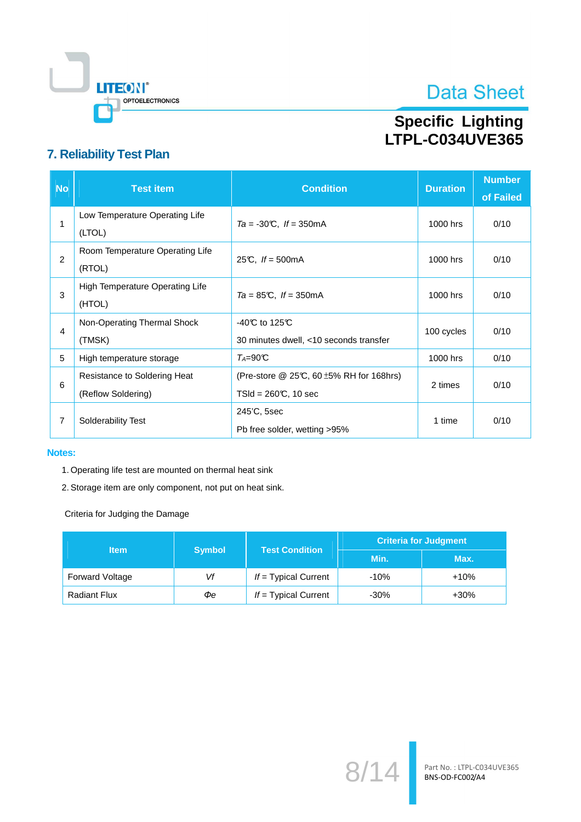![](_page_9_Picture_0.jpeg)

# Specific Lighting<br>LTPL-C034UVE365

## 7. Reliability Test Plan

| <b>No</b> | <b>Test item</b>                                   | <b>Condition</b>                                                                  | <b>Duration</b> | <b>Number</b><br>of Failed |
|-----------|----------------------------------------------------|-----------------------------------------------------------------------------------|-----------------|----------------------------|
| 1         | Low Temperature Operating Life<br>(LTOL)           | $Ta = -30^{\circ}C$ , $If = 350^{\circ}mA$                                        | 1000 hrs        | 0/10                       |
| 2         | Room Temperature Operating Life<br>(RTOL)          | 25°C, $If = 500 \text{mA}$                                                        | 1000 hrs        | 0/10                       |
| 3         | High Temperature Operating Life<br>(HTOL)          | $Ta = 85^{\circ}\text{C}$ , $If = 350^{\circ}\text{mA}$                           | 1000 hrs        | 0/10                       |
| 4         | Non-Operating Thermal Shock<br>(TMSK)              | -40 $\mathbb C$ to 125 $\mathbb C$<br>30 minutes dwell, <10 seconds transfer      | 100 cycles      | 0/10                       |
| 5         | High temperature storage                           | $T_A = 90C$                                                                       | 1000 hrs        | 0/10                       |
| 6         | Resistance to Soldering Heat<br>(Reflow Soldering) | (Pre-store $@$ 25°C, 60 $\pm$ 5% RH for 168hrs)<br>$TSId = 260 \text{C}$ , 10 sec | 2 times         | 0/10                       |
| 7         | Solderability Test                                 | 245'C, 5sec<br>Pb free solder, wetting >95%                                       | 1 time          | 0/10                       |

#### **Notes:**

- 1. Operating life test are mounted on thermal heat sink
- 2. Storage item are only component, not put on heat sink.

Criteria for Judging the Damage

| <b>Item</b>         |               | <b>Test Condition</b>  | <b>Criteria for Judgment</b> |        |  |
|---------------------|---------------|------------------------|------------------------------|--------|--|
|                     | <b>Symbol</b> |                        | Min.                         | Max.   |  |
| Forward Voltage     | Vf            | $If = Typical Current$ | $-10%$                       | $+10%$ |  |
| <b>Radiant Flux</b> | Фe            | $If = Typical Current$ | $-30%$                       | $+30%$ |  |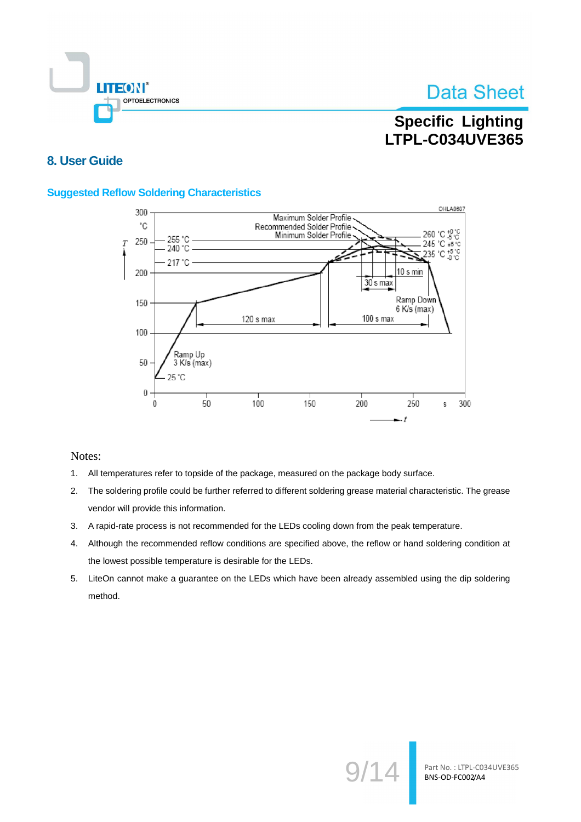![](_page_10_Picture_0.jpeg)

## **Specific Lighting LTPL-C034UVE365**

### 8. User Guide

### **Suggested Reflow Soldering Characteristics**

![](_page_10_Figure_5.jpeg)

Notes:

- $1.$ All temperatures refer to topside of the package, measured on the package body surface.
- The soldering profile could be further referred to different soldering grease material characteristic. The grease  $2.$ vendor will provide this information.
- 3. A rapid-rate process is not recommended for the LEDs cooling down from the peak temperature.
- Although the recommended reflow conditions are specified above, the reflow or hand soldering condition at  $4.$ the lowest possible temperature is desirable for the LEDs.
- 5. LiteOn cannot make a guarantee on the LEDs which have been already assembled using the dip soldering method.

![](_page_10_Picture_12.jpeg)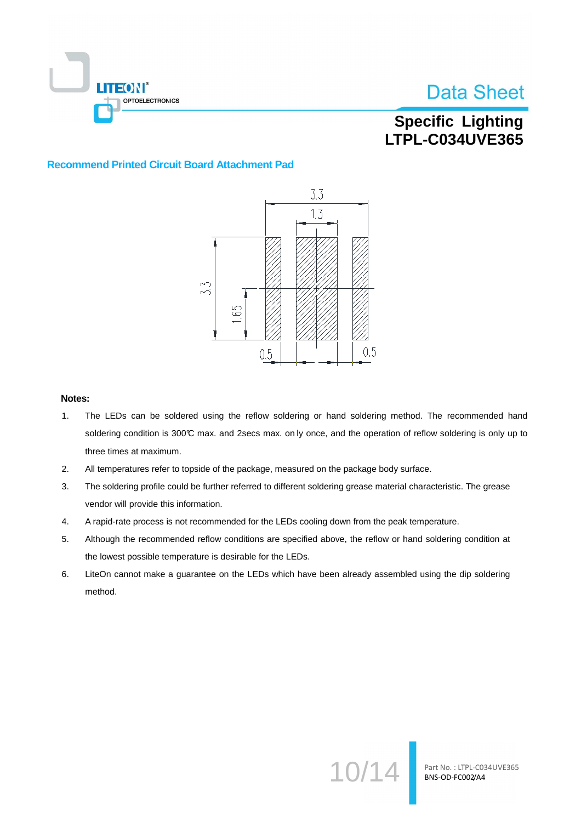![](_page_11_Picture_0.jpeg)

## **Specific Lighting LTPL-C034UVE365**

#### **Recommend Printed Circuit Board Attachment Pad**

![](_page_11_Figure_4.jpeg)

#### Notes:

- $1.$ The LEDs can be soldered using the reflow soldering or hand soldering method. The recommended hand soldering condition is 300°C max. and 2secs max. on ly once, and the operation of reflow soldering is only up to three times at maximum.
- $2.$ All temperatures refer to topside of the package, measured on the package body surface.
- 3. The soldering profile could be further referred to different soldering grease material characteristic. The grease vendor will provide this information.
- 4. A rapid-rate process is not recommended for the LEDs cooling down from the peak temperature.
- Although the recommended reflow conditions are specified above, the reflow or hand soldering condition at 5. the lowest possible temperature is desirable for the LEDs.
- 6. LiteOn cannot make a guarantee on the LEDs which have been already assembled using the dip soldering method.

![](_page_11_Picture_12.jpeg)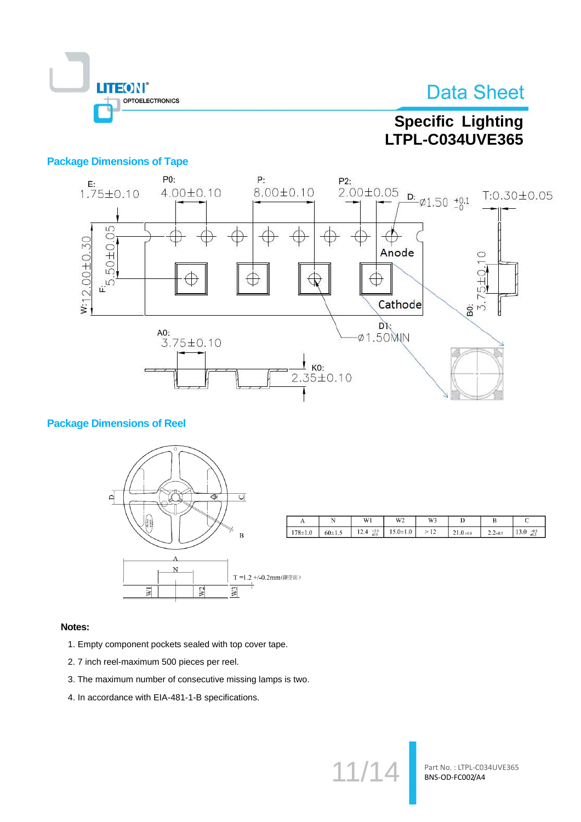![](_page_12_Picture_0.jpeg)

## **Specific Lighting** LTPL-C034UVE365

### **Package Dimensions of Tape**

![](_page_12_Figure_4.jpeg)

### **Package Dimensions of Reel**

![](_page_12_Figure_6.jpeg)

|             |            | W1                       | W <sub>2</sub> | W3             |              | D           |                          |
|-------------|------------|--------------------------|----------------|----------------|--------------|-------------|--------------------------|
| $178 + 1.0$ | $60 + 1.5$ | $^{+2.0}_{-0.0}$<br>12.4 | $15.0 \pm 1.0$ | 12<br>$\rm{>}$ | $21.0 + 0.8$ | $2.2 + 0.5$ | $+0.5$<br>13.0<br>$-0.2$ |

#### Notes:

- 1. Empty component pockets sealed with top cover tape.
- 2. 7 inch reel-maximum 500 pieces per reel.
- 3. The maximum number of consecutive missing lamps is two.
- 4. In accordance with EIA-481-1-B specifications.

 $11<sub>l</sub>$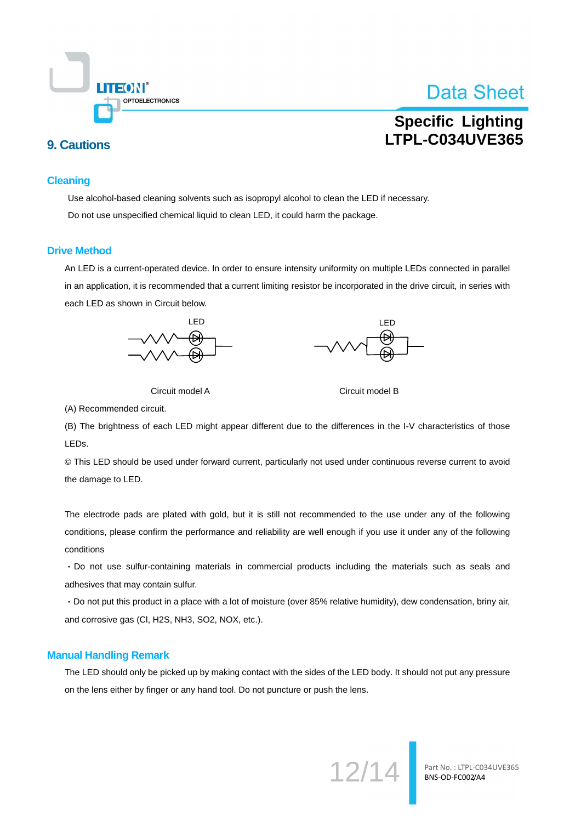![](_page_13_Picture_0.jpeg)

## **Specific Lighting LTPL-C034UVE365**

## **9. Cautions**

#### **Cleaning**

Use alcohol-based cleaning solvents such as isopropyl alcohol to clean the LED if necessary. Do not use unspecified chemical liquid to clean LED, it could harm the package.

#### **Drive Method**

An LED is a current-operated device. In order to ensure intensity uniformity on multiple LEDs connected in parallel in an application, it is recommended that a current limiting resistor be incorporated in the drive circuit, in series with each LED as shown in Circuit below.

![](_page_13_Figure_8.jpeg)

![](_page_13_Figure_9.jpeg)

![](_page_13_Figure_10.jpeg)

Circuit model B

(A) Recommended circuit.

(B) The brightness of each LED might appear different due to the differences in the I-V characteristics of those LEDs.

© This LED should be used under forward current, particularly not used under continuous reverse current to avoid the damage to LED.

The electrode pads are plated with gold, but it is still not recommended to the use under any of the following conditions, please confirm the performance and reliability are well enough if you use it under any of the following conditions

· Do not use sulfur-containing materials in commercial products including the materials such as seals and adhesives that may contain sulfur.

· Do not put this product in a place with a lot of moisture (over 85% relative humidity), dew condensation, briny air, and corrosive gas (Cl, H2S, NH3, SO2, NOX, etc.).

#### **Manual Handling Remark**

The LED should only be picked up by making contact with the sides of the LED body. It should not put any pressure on the lens either by finger or any hand tool. Do not puncture or push the lens.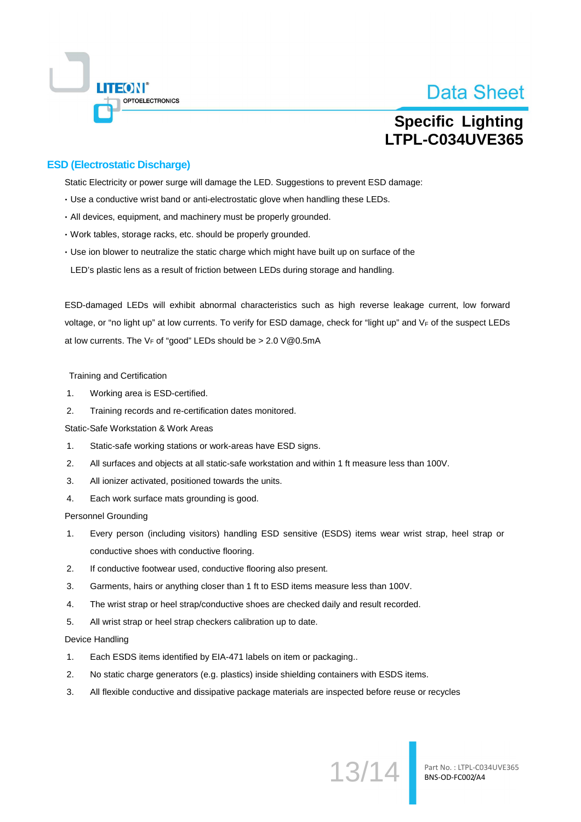![](_page_14_Picture_0.jpeg)

## **Specific Lighting LTPL-C034UVE365**

### **ESD (Electrostatic Discharge)**

Static Electricity or power surge will damage the LED. Suggestions to prevent ESD damage:

- . Use a conductive wrist band or anti-electrostatic glove when handling these LEDs.
- · All devices, equipment, and machinery must be properly grounded.
- · Work tables, storage racks, etc. should be properly grounded.
- Use ion blower to neutralize the static charge which might have built up on surface of the LED's plastic lens as a result of friction between LEDs during storage and handling.

ESD-damaged LEDs will exhibit abnormal characteristics such as high reverse leakage current. low forward voltage, or "no light up" at low currents. To verify for ESD damage, check for "light up" and VF of the suspect LEDs at low currents. The  $V_F$  of "good" LEDs should be > 2.0  $V@0.5mA$ 

**Training and Certification** 

- $\mathbf{1}$ Working area is ESD-certified.
- $2.$ Training records and re-certification dates monitored.

Static-Safe Workstation & Work Areas

- $\overline{1}$ Static-safe working stations or work-areas have ESD signs.
- $\mathcal{P}_{\cdot}$ All surfaces and objects at all static-safe workstation and within 1 ft measure less than 100V.
- $\overline{3}$ . All ionizer activated, positioned towards the units.
- $\overline{4}$ . Each work surface mats grounding is good.

**Personnel Grounding** 

- $\overline{1}$ Every person (including visitors) handling ESD sensitive (ESDS) items wear wrist strap, heel strap or conductive shoes with conductive flooring.
- $2.$ If conductive footwear used, conductive flooring also present.
- $3.$ Garments, hairs or anything closer than 1 ft to ESD items measure less than 100V.
- $\overline{4}$ . The wrist strap or heel strap/conductive shoes are checked daily and result recorded.
- All wrist strap or heel strap checkers calibration up to date.  $5.$

Device Handling

- $\mathbf 1$ . Each ESDS items identified by EIA-471 labels on item or packaging..
- $2.$ No static charge generators (e.g. plastics) inside shielding containers with ESDS items.
- 3. All flexible conductive and dissipative package materials are inspected before reuse or recycles

13/14